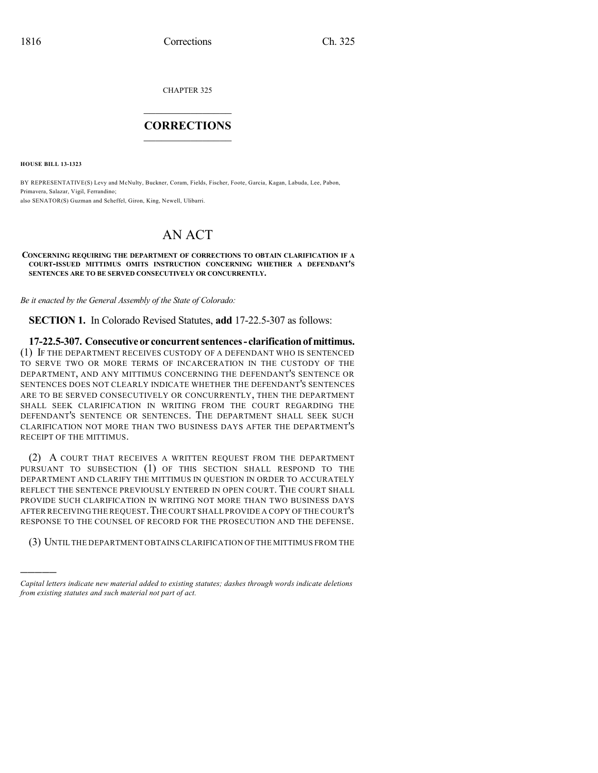CHAPTER 325

## $\mathcal{L}_\text{max}$  . The set of the set of the set of the set of the set of the set of the set of the set of the set of the set of the set of the set of the set of the set of the set of the set of the set of the set of the set **CORRECTIONS**  $\frac{1}{2}$  ,  $\frac{1}{2}$  ,  $\frac{1}{2}$  ,  $\frac{1}{2}$  ,  $\frac{1}{2}$  ,  $\frac{1}{2}$

**HOUSE BILL 13-1323**

)))))

BY REPRESENTATIVE(S) Levy and McNulty, Buckner, Coram, Fields, Fischer, Foote, Garcia, Kagan, Labuda, Lee, Pabon, Primavera, Salazar, Vigil, Ferrandino; also SENATOR(S) Guzman and Scheffel, Giron, King, Newell, Ulibarri.

## AN ACT

## **CONCERNING REQUIRING THE DEPARTMENT OF CORRECTIONS TO OBTAIN CLARIFICATION IF A COURT-ISSUED MITTIMUS OMITS INSTRUCTION CONCERNING WHETHER A DEFENDANT'S SENTENCES ARE TO BE SERVED CONSECUTIVELY OR CONCURRENTLY.**

*Be it enacted by the General Assembly of the State of Colorado:*

**SECTION 1.** In Colorado Revised Statutes, **add** 17-22.5-307 as follows:

**17-22.5-307. Consecutiveor concurrentsentences- clarificationof mittimus.** (1) IF THE DEPARTMENT RECEIVES CUSTODY OF A DEFENDANT WHO IS SENTENCED TO SERVE TWO OR MORE TERMS OF INCARCERATION IN THE CUSTODY OF THE DEPARTMENT, AND ANY MITTIMUS CONCERNING THE DEFENDANT'S SENTENCE OR SENTENCES DOES NOT CLEARLY INDICATE WHETHER THE DEFENDANT'S SENTENCES ARE TO BE SERVED CONSECUTIVELY OR CONCURRENTLY, THEN THE DEPARTMENT SHALL SEEK CLARIFICATION IN WRITING FROM THE COURT REGARDING THE DEFENDANT'S SENTENCE OR SENTENCES. THE DEPARTMENT SHALL SEEK SUCH CLARIFICATION NOT MORE THAN TWO BUSINESS DAYS AFTER THE DEPARTMENT'S RECEIPT OF THE MITTIMUS.

(2) A COURT THAT RECEIVES A WRITTEN REQUEST FROM THE DEPARTMENT PURSUANT TO SUBSECTION (1) OF THIS SECTION SHALL RESPOND TO THE DEPARTMENT AND CLARIFY THE MITTIMUS IN QUESTION IN ORDER TO ACCURATELY REFLECT THE SENTENCE PREVIOUSLY ENTERED IN OPEN COURT. THE COURT SHALL PROVIDE SUCH CLARIFICATION IN WRITING NOT MORE THAN TWO BUSINESS DAYS AFTER RECEIVING THE REQUEST.THE COURT SHALL PROVIDE A COPY OF THE COURT'S RESPONSE TO THE COUNSEL OF RECORD FOR THE PROSECUTION AND THE DEFENSE.

(3) UNTIL THE DEPARTMENT OBTAINS CLARIFICATION OF THE MITTIMUS FROM THE

*Capital letters indicate new material added to existing statutes; dashes through words indicate deletions from existing statutes and such material not part of act.*